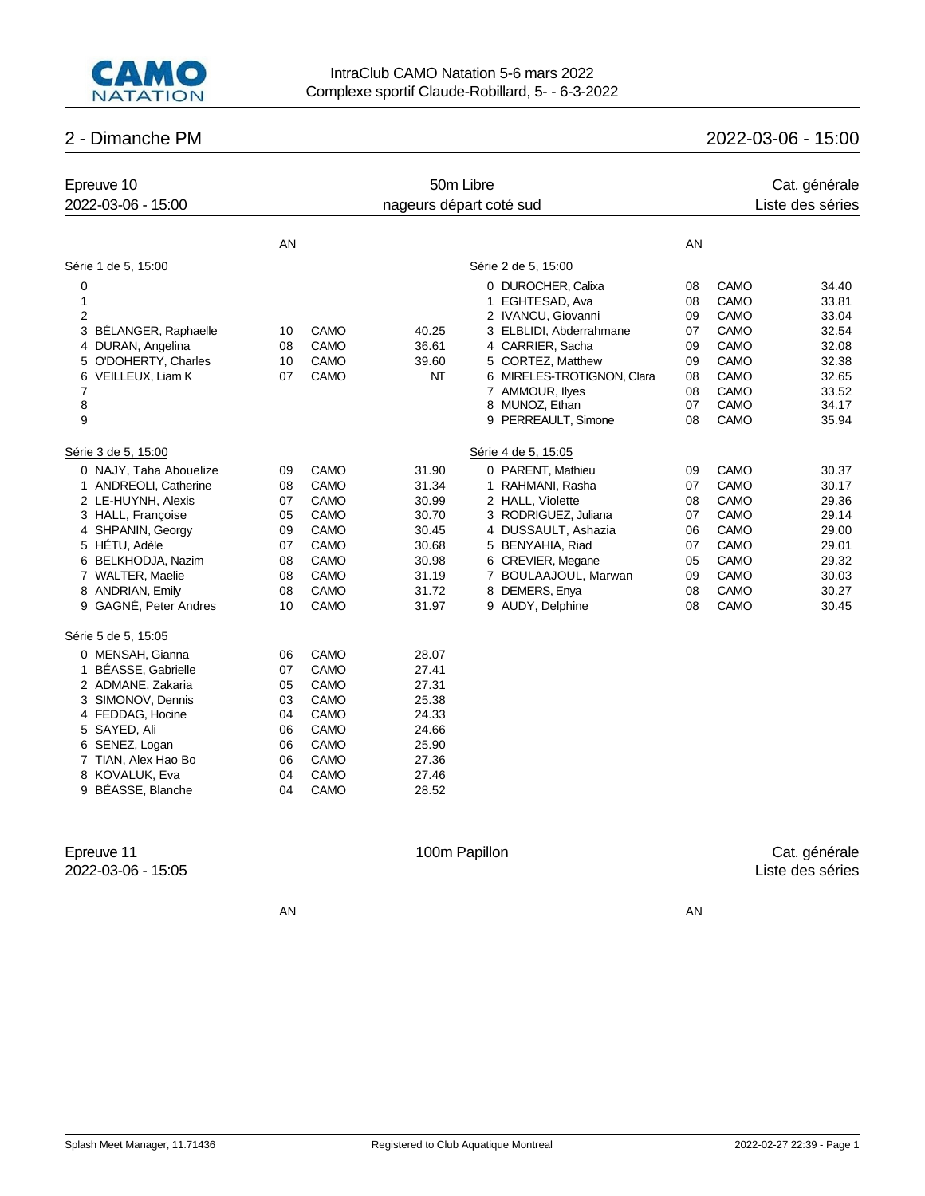

# 2 - Dimanche PM 2022-03-06 - 15:00

| Epreuve 10<br>2022-03-06 - 15:00                                                                                                                                                                                                                                      |                                                          |                                                                                     | 50m Libre<br>nageurs départ coté sud                                                   |                                                                                                                                                                                                                                        |                                                          |                                                                                                          | Cat. générale<br>Liste des séries                                                      |
|-----------------------------------------------------------------------------------------------------------------------------------------------------------------------------------------------------------------------------------------------------------------------|----------------------------------------------------------|-------------------------------------------------------------------------------------|----------------------------------------------------------------------------------------|----------------------------------------------------------------------------------------------------------------------------------------------------------------------------------------------------------------------------------------|----------------------------------------------------------|----------------------------------------------------------------------------------------------------------|----------------------------------------------------------------------------------------|
|                                                                                                                                                                                                                                                                       |                                                          |                                                                                     |                                                                                        |                                                                                                                                                                                                                                        |                                                          |                                                                                                          |                                                                                        |
|                                                                                                                                                                                                                                                                       | AN                                                       |                                                                                     |                                                                                        |                                                                                                                                                                                                                                        | AN                                                       |                                                                                                          |                                                                                        |
| Série 1 de 5, 15:00                                                                                                                                                                                                                                                   |                                                          |                                                                                     |                                                                                        | Série 2 de 5, 15:00                                                                                                                                                                                                                    |                                                          |                                                                                                          |                                                                                        |
| 0<br>$\mathbf{1}$<br>$\overline{2}$<br>3<br>BÉLANGER, Raphaelle<br>DURAN, Angelina<br>4<br>O'DOHERTY, Charles<br>5<br>6<br>VEILLEUX, Liam K                                                                                                                           | 10<br>08<br>10<br>07                                     | CAMO<br>CAMO<br>CAMO<br><b>CAMO</b>                                                 | 40.25<br>36.61<br>39.60<br>NT                                                          | 0 DUROCHER, Calixa<br>EGHTESAD, Ava<br>1<br>2 IVANCU, Giovanni<br>3 ELBLIDI, Abderrahmane<br>4 CARRIER, Sacha<br>5 CORTEZ, Matthew<br>6 MIRELES-TROTIGNON, Clara                                                                       | 08<br>08<br>09<br>07<br>09<br>09<br>08                   | CAMO<br>CAMO<br>CAMO<br>CAMO<br>CAMO<br>CAMO<br>CAMO                                                     | 34.40<br>33.81<br>33.04<br>32.54<br>32.08<br>32.38<br>32.65                            |
| $\overline{7}$<br>8<br>9                                                                                                                                                                                                                                              |                                                          |                                                                                     |                                                                                        | 7 AMMOUR, Ilyes<br>8 MUNOZ, Ethan<br>9 PERREAULT, Simone                                                                                                                                                                               | 08<br>07<br>08                                           | CAMO<br>CAMO<br><b>CAMO</b>                                                                              | 33.52<br>34.17<br>35.94                                                                |
| Série 3 de 5, 15:00<br>0 NAJY, Taha Abouelize<br>1 ANDREOLI, Catherine<br>2 LE-HUYNH, Alexis<br>3 HALL, Françoise<br>4 SHPANIN, Georgy<br>5 HETU, Adèle<br>6 BELKHODJA, Nazim<br>7 WALTER, Maelie<br>8 ANDRIAN, Emily<br>9 GAGNÉ, Peter Andres<br>Série 5 de 5, 15:05 | 09<br>08<br>07<br>05<br>09<br>07<br>08<br>08<br>08<br>10 | CAMO<br>CAMO<br>CAMO<br><b>CAMO</b><br>CAMO<br>CAMO<br>CAMO<br>CAMO<br>CAMO<br>CAMO | 31.90<br>31.34<br>30.99<br>30.70<br>30.45<br>30.68<br>30.98<br>31.19<br>31.72<br>31.97 | Série 4 de 5, 15:05<br>0 PARENT, Mathieu<br>1 RAHMANI, Rasha<br>2 HALL, Violette<br>3 RODRIGUEZ, Juliana<br>4 DUSSAULT, Ashazia<br>5 BENYAHIA, Riad<br>6 CREVIER, Megane<br>7 BOULAAJOUL, Marwan<br>8 DEMERS, Enya<br>9 AUDY, Delphine | 09<br>07<br>08<br>07<br>06<br>07<br>05<br>09<br>08<br>08 | <b>CAMO</b><br>CAMO<br>CAMO<br>CAMO<br><b>CAMO</b><br><b>CAMO</b><br><b>CAMO</b><br>CAMO<br>CAMO<br>CAMO | 30.37<br>30.17<br>29.36<br>29.14<br>29.00<br>29.01<br>29.32<br>30.03<br>30.27<br>30.45 |
| 0 MENSAH, Gianna<br><b>BÉASSE, Gabrielle</b><br>1<br>2 ADMANE, Zakaria<br>3 SIMONOV, Dennis<br>4 FEDDAG, Hocine<br>5 SAYED, Ali<br>6 SENEZ, Logan<br>7 TIAN, Alex Hao Bo<br>8 KOVALUK, Eva<br>9 BEASSE, Blanche                                                       | 06<br>07<br>05<br>03<br>04<br>06<br>06<br>06<br>04<br>04 | CAMO<br>CAMO<br>CAMO<br><b>CAMO</b><br>CAMO<br>CAMO<br>CAMO<br>CAMO<br>CAMO<br>CAMO | 28.07<br>27.41<br>27.31<br>25.38<br>24.33<br>24.66<br>25.90<br>27.36<br>27.46<br>28.52 |                                                                                                                                                                                                                                        |                                                          |                                                                                                          |                                                                                        |
| Epreuve 11<br>2022-03-06 - 15:05                                                                                                                                                                                                                                      |                                                          |                                                                                     | 100m Papillon                                                                          |                                                                                                                                                                                                                                        |                                                          |                                                                                                          | Cat. générale<br>Liste des séries                                                      |

AN AN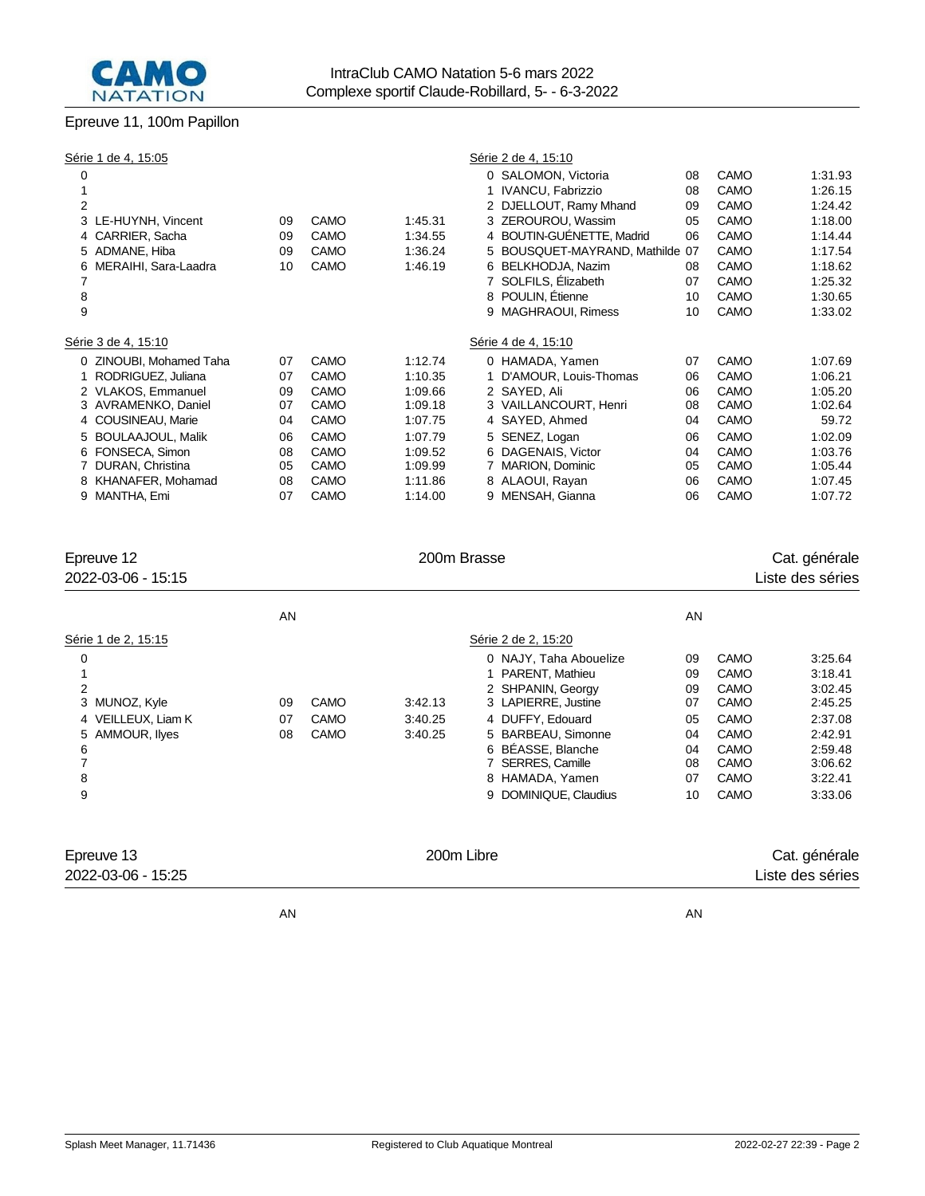

## Epreuve 11, 100m Papillon

| Série 1 de 4, 15:05<br>Série 2 de 4, 15:10                                         |      |         |
|------------------------------------------------------------------------------------|------|---------|
| 0 SALOMON, Victoria<br>0<br>08                                                     | CAMO | 1:31.93 |
| 1 IVANCU, Fabrizzio<br>08                                                          | CAMO | 1:26.15 |
| $\overline{2}$<br>2 DJELLOUT, Ramy Mhand<br>09                                     | CAMO | 1:24.42 |
| 3 ZEROUROU, Wassim<br>CAMO<br>1:45.31<br>3 LE-HUYNH, Vincent<br>05<br>09           | CAMO | 1:18.00 |
| 4 BOUTIN-GUÉNETTE, Madrid<br>CARRIER, Sacha<br>CAMO<br>1:34.55<br>09<br>06         | CAMO | 1:14.44 |
| 5 BOUSQUET-MAYRAND, Mathilde<br>5 ADMANE, Hiba<br>CAMO<br>1:36.24<br>09<br>07      | CAMO | 1:17.54 |
| CAMO<br>6 BELKHODJA, Nazim<br>MERAIHI, Sara-Laadra<br>1:46.19<br>10<br>08<br>6     | CAMO | 1:18.62 |
| 7 SOLFILS, Élizabeth<br>07                                                         | CAMO | 1:25.32 |
| 8<br>8 POULIN, Etienne<br>10                                                       | CAMO | 1:30.65 |
| 9<br>MAGHRAOUI, Rimess<br>10<br>9                                                  | CAMO | 1:33.02 |
| Série 3 de 4, 15:10<br>Série 4 de 4, 15:10                                         |      |         |
| CAMO<br>0 ZINOUBI, Mohamed Taha<br>1:12.74<br>0 HAMADA, Yamen<br>07<br>07          | CAMO | 1:07.69 |
| D'AMOUR, Louis-Thomas<br>RODRIGUEZ, Juliana<br>CAMO<br>1:10.35<br>07<br>06         | CAMO | 1:06.21 |
| 2 SAYED, Ali<br>2 VLAKOS, Emmanuel<br>CAMO<br>1:09.66<br>09<br>06                  | CAMO | 1:05.20 |
| 3 AVRAMENKO, Daniel<br><b>CAMO</b><br>1:09.18<br>3 VAILLANCOURT, Henri<br>07<br>08 | CAMO | 1:02.64 |
| CAMO<br>4 SAYED, Ahmed<br>4 COUSINEAU, Marie<br>1:07.75<br>04<br>04                | CAMO | 59.72   |
| CAMO<br>5 BOULAAJOUL, Malik<br>5 SENEZ, Logan<br>06<br>1:07.79<br>06               | CAMO | 1:02.09 |
| 6 DAGENAIS, Victor<br>6 FONSECA, Simon<br>CAMO<br>08<br>1:09.52<br>04              | CAMO | 1:03.76 |
| <b>CAMO</b><br>MARION, Dominic<br>DURAN, Christina<br>1:09.99<br>05<br>05          | CAMO | 1:05.44 |
| <b>CAMO</b><br>8 ALAOUI, Rayan<br>KHANAFER, Mohamad<br>1:11.86<br>06<br>08<br>8    | CAMO | 1:07.45 |
| 9 MANTHA, Emi<br>CAMO<br>MENSAH, Gianna<br>1:14.00<br>07<br>9<br>06                | CAMO | 1:07.72 |

| Epreuve 12<br>2022-03-06 - 15:15                                                                |                |                             | 200m Brasse                   |                                                                                                                                                                                                                         |                                                          |                                                                              | Cat. générale<br>Liste des séries                                                                          |
|-------------------------------------------------------------------------------------------------|----------------|-----------------------------|-------------------------------|-------------------------------------------------------------------------------------------------------------------------------------------------------------------------------------------------------------------------|----------------------------------------------------------|------------------------------------------------------------------------------|------------------------------------------------------------------------------------------------------------|
|                                                                                                 | AN             |                             |                               |                                                                                                                                                                                                                         | AN                                                       |                                                                              |                                                                                                            |
| Série 1 de 2, 15:15                                                                             |                |                             |                               | Série 2 de 2, 15:20                                                                                                                                                                                                     |                                                          |                                                                              |                                                                                                            |
| 0<br>$\overline{2}$<br>3 MUNOZ, Kyle<br>4 VEILLEUX, Liam K<br>AMMOUR, Ilyes<br>6<br>7<br>8<br>9 | 09<br>07<br>08 | <b>CAMO</b><br>CAMO<br>CAMO | 3:42.13<br>3:40.25<br>3:40.25 | 0 NAJY, Taha Abouelize<br>1 PARENT, Mathieu<br>2 SHPANIN, Georgy<br>3 LAPIERRE, Justine<br>4 DUFFY, Edouard<br>5 BARBEAU, Simonne<br>6 BÉASSE, Blanche<br>7 SERRES, Camille<br>8 HAMADA, Yamen<br>9 DOMINIQUE, Claudius | 09<br>09<br>09<br>07<br>05<br>04<br>04<br>08<br>07<br>10 | CAMO<br>CAMO<br>CAMO<br>CAMO<br>CAMO<br>CAMO<br>CAMO<br>CAMO<br>CAMO<br>CAMO | 3:25.64<br>3:18.41<br>3:02.45<br>2:45.25<br>2:37.08<br>2:42.91<br>2:59.48<br>3:06.62<br>3:22.41<br>3:33.06 |
| Epreuve 13<br>2022-03-06 - 15:25                                                                |                |                             | 200m Libre                    |                                                                                                                                                                                                                         |                                                          |                                                                              | Cat. générale<br>Liste des séries                                                                          |

AN AN ANGLES AN ANGLES AN ANGLES AN ANGLES AN ANGLES AN ANGLES AN ANGLES AN ANGLES AN ANGLES AN ANGLES AN ANGLES AN ANGLES AN ANGLES AN ANGLES AN ANGLES AN ANGLES AN ANGLES AN ANGLES AN ANGLES AN ANGLES AN ANGLES AN ANGLES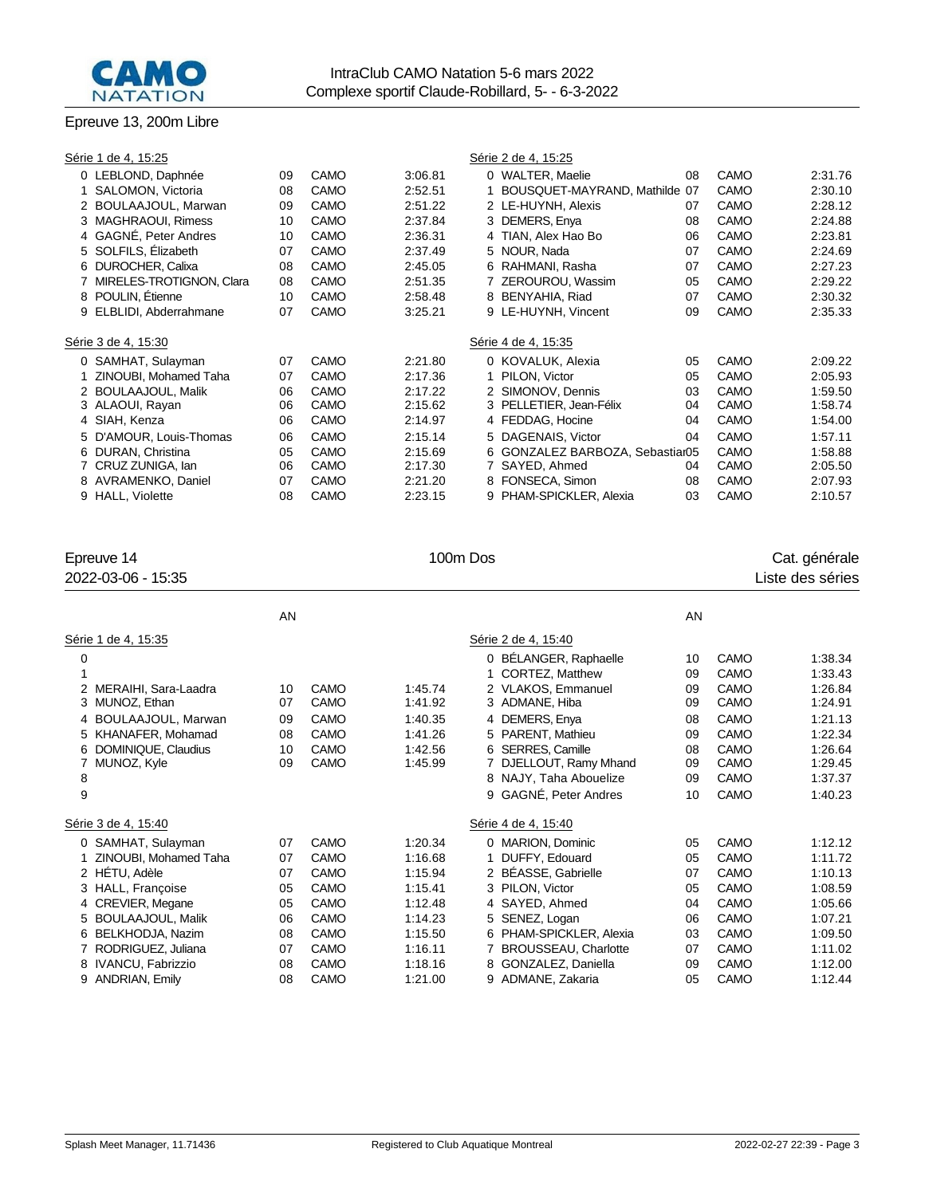

#### Epreuve 13, 200m Libre

| Série 1 de 4, 15:25        |    |             |         | Série 2 de 4, 15:25             |    |      |         |
|----------------------------|----|-------------|---------|---------------------------------|----|------|---------|
| 0 LEBLOND, Daphnée         | 09 | CAMO        | 3:06.81 | 0 WALTER, Maelie                | 08 | CAMO | 2:31.76 |
| SALOMON, Victoria          | 08 | CAMO        | 2:52.51 | 1 BOUSQUET-MAYRAND, Mathilde 07 |    | CAMO | 2:30.10 |
| 2 BOULAAJOUL, Marwan       | 09 | CAMO        | 2:51.22 | 2 LE-HUYNH, Alexis              | 07 | CAMO | 2:28.12 |
| 3 MAGHRAOUI, Rimess        | 10 | CAMO        | 2:37.84 | 3 DEMERS, Enya                  | 08 | CAMO | 2:24.88 |
| 4 GAGNÉ, Peter Andres      | 10 | CAMO        | 2:36.31 | 4 TIAN, Alex Hao Bo             | 06 | CAMO | 2:23.81 |
| 5 SOLFILS, Elizabeth       | 07 | CAMO        | 2:37.49 | 5 NOUR, Nada                    | 07 | CAMO | 2:24.69 |
| 6 DUROCHER, Calixa         | 08 | CAMO        | 2:45.05 | 6 RAHMANI, Rasha                | 07 | CAMO | 2:27.23 |
| MIRELES-TROTIGNON, Clara   | 08 | CAMO        | 2:51.35 | 7 ZEROUROU, Wassim              | 05 | CAMO | 2:29.22 |
| 8 POULIN, Étienne          | 10 | CAMO        | 2:58.48 | 8 BENYAHIA, Riad                | 07 | CAMO | 2:30.32 |
| ELBLIDI, Abderrahmane<br>9 | 07 | CAMO        | 3:25.21 | 9 LE-HUYNH, Vincent             | 09 | CAMO | 2:35.33 |
| Série 3 de 4, 15:30        |    |             |         | Série 4 de 4, 15:35             |    |      |         |
| 0 SAMHAT, Sulayman         | 07 | CAMO        | 2:21.80 | 0 KOVALUK, Alexia               | 05 | CAMO | 2:09.22 |
| ZINOUBI, Mohamed Taha      | 07 | CAMO        | 2:17.36 | 1 PILON. Victor                 | 05 | CAMO | 2:05.93 |
| 2 BOULAAJOUL, Malik        | 06 | CAMO        | 2:17.22 | 2 SIMONOV, Dennis               | 03 | CAMO | 1:59.50 |
| 3 ALAOUI, Rayan            | 06 | CAMO        | 2:15.62 | 3 PELLETIER, Jean-Félix         | 04 | CAMO | 1:58.74 |
| 4 SIAH, Kenza              | 06 | CAMO        | 2:14.97 | 4 FEDDAG, Hocine                | 04 | CAMO | 1:54.00 |
| 5 D'AMOUR, Louis-Thomas    | 06 | CAMO        | 2:15.14 | 5 DAGENAIS, Victor              | 04 | CAMO | 1:57.11 |
| 6 DURAN, Christina         | 05 | CAMO        | 2:15.69 | 6 GONZALEZ BARBOZA, Sebastiar05 |    | CAMO | 1:58.88 |
| 7 CRUZ ZUNIGA, Ian         | 06 | <b>CAMO</b> | 2:17.30 | 7 SAYED, Ahmed                  | 04 | CAMO | 2:05.50 |
| 8 AVRAMENKO, Daniel        | 07 | CAMO        | 2:21.20 | 8 FONSECA, Simon                | 08 | CAMO | 2:07.93 |
| 9 HALL, Violette           | 08 | CAMO        | 2:23.15 | 9 PHAM-SPICKLER, Alexia         | 03 | CAMO | 2:10.57 |
|                            |    |             |         |                                 |    |      |         |

| Epreuve 14<br>2022-03-06 - 15:35 | 100m Dos |             |         |                             |    | Cat. générale<br>Liste des séries |         |  |  |
|----------------------------------|----------|-------------|---------|-----------------------------|----|-----------------------------------|---------|--|--|
|                                  | AN       |             |         |                             | AN |                                   |         |  |  |
| Série 1 de 4, 15:35              |          |             |         | Série 2 de 4, 15:40         |    |                                   |         |  |  |
| 0                                |          |             |         | 0 BÉLANGER, Raphaelle       | 10 | CAMO                              | 1:38.34 |  |  |
| 1                                |          |             |         | CORTEZ, Matthew<br>1        | 09 | CAMO                              | 1:33.43 |  |  |
| MERAIHI, Sara-Laadra             | 10       | CAMO        | 1:45.74 | 2 VLAKOS, Emmanuel          | 09 | CAMO                              | 1:26.84 |  |  |
| MUNOZ, Ethan<br>3                | 07       | CAMO        | 1:41.92 | 3 ADMANE, Hiba              | 09 | <b>CAMO</b>                       | 1:24.91 |  |  |
| BOULAAJOUL, Marwan<br>4          | 09       | CAMO        | 1:40.35 | DEMERS, Enya<br>4           | 08 | CAMO                              | 1:21.13 |  |  |
| KHANAFER, Mohamad<br>5           | 08       | CAMO        | 1:41.26 | PARENT. Mathieu<br>5        | 09 | CAMO                              | 1:22.34 |  |  |
| DOMINIQUE, Claudius              | 10       | CAMO        | 1:42.56 | <b>SERRES, Camille</b><br>6 | 08 | CAMO                              | 1:26.64 |  |  |
| MUNOZ, Kyle<br>7                 | 09       | <b>CAMO</b> | 1:45.99 | DJELLOUT, Ramy Mhand        | 09 | <b>CAMO</b>                       | 1:29.45 |  |  |
| 8                                |          |             |         | 8 NAJY, Taha Abouelize      | 09 | CAMO                              | 1:37.37 |  |  |
| 9                                |          |             |         | 9 GAGNÉ, Peter Andres       | 10 | CAMO                              | 1:40.23 |  |  |
| Série 3 de 4, 15:40              |          |             |         | Série 4 de 4, 15:40         |    |                                   |         |  |  |
| 0 SAMHAT, Sulayman               | 07       | CAMO        | 1:20.34 | 0 MARION, Dominic           | 05 | CAMO                              | 1:12.12 |  |  |
| ZINOUBI, Mohamed Taha            | 07       | CAMO        | 1:16.68 | DUFFY, Edouard<br>1         | 05 | CAMO                              | 1:11.72 |  |  |
| 2 HÉTU, Adèle                    | 07       | CAMO        | 1:15.94 | 2 BÉASSE, Gabrielle         | 07 | CAMO                              | 1:10.13 |  |  |
| 3 HALL, Françoise                | 05       | CAMO        | 1:15.41 | PILON, Victor<br>3          | 05 | CAMO                              | 1:08.59 |  |  |
| CREVIER, Megane<br>4             | 05       | <b>CAMO</b> | 1:12.48 | 4 SAYED, Ahmed              | 04 | CAMO                              | 1:05.66 |  |  |
| <b>BOULAAJOUL, Malik</b>         | 06       | CAMO        | 1:14.23 | SENEZ, Logan<br>5           | 06 | CAMO                              | 1:07.21 |  |  |
| BELKHODJA, Nazim<br>6            | 08       | CAMO        | 1:15.50 | PHAM-SPICKLER, Alexia<br>6  | 03 | CAMO                              | 1:09.50 |  |  |
| RODRIGUEZ, Juliana               | 07       | CAMO        | 1:16.11 | <b>BROUSSEAU, Charlotte</b> | 07 | CAMO                              | 1:11.02 |  |  |
| 8 IVANCU, Fabrizzio              | 08       | CAMO        | 1:18.16 | 8 GONZALEZ, Daniella        | 09 | CAMO                              | 1:12.00 |  |  |
| <b>ANDRIAN, Emily</b><br>9       | 08       | CAMO        | 1:21.00 | ADMANE, Zakaria<br>9        | 05 | CAMO                              | 1:12.44 |  |  |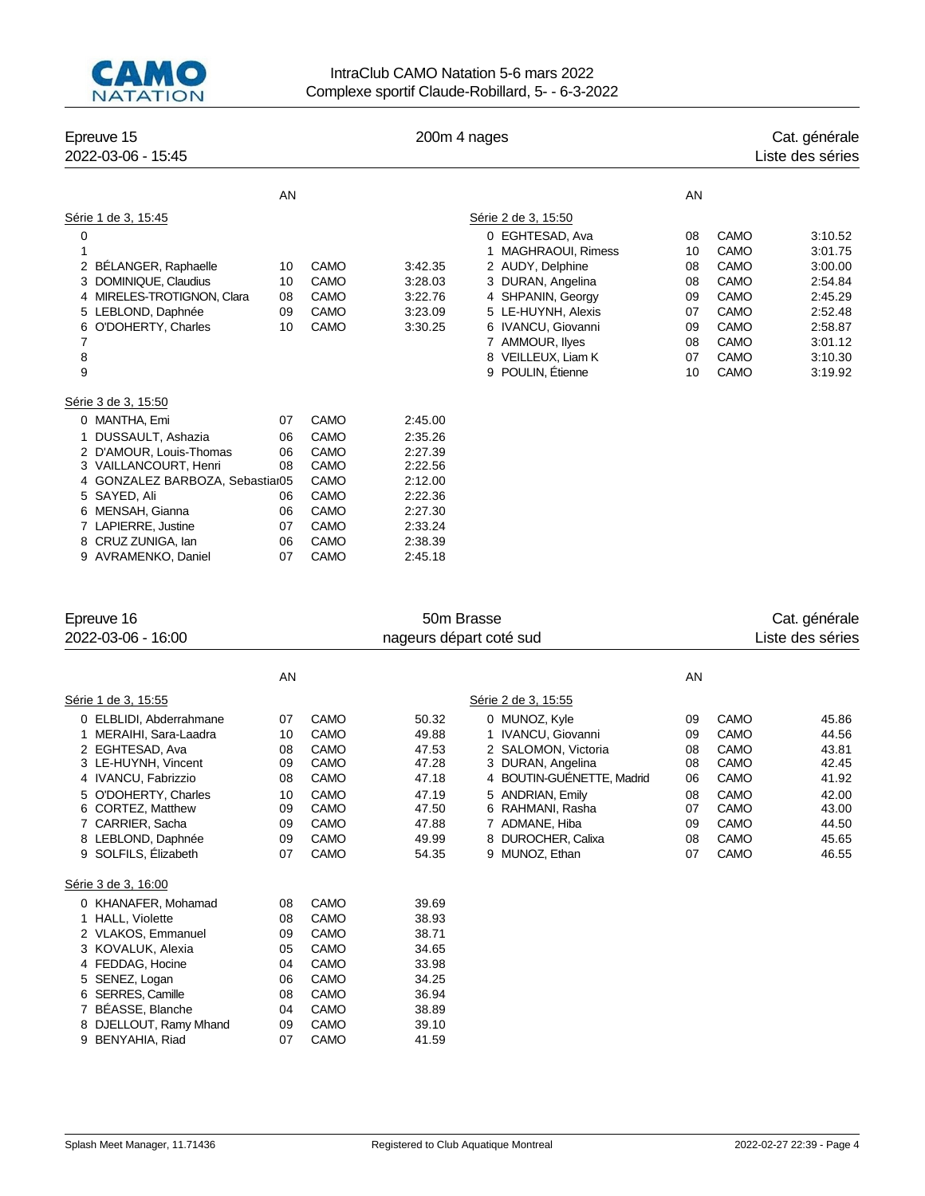

AVRAMENKO, Daniel 07 CAMO 2:45.18

## IntraClub CAMO Natation 5-6 mars 2022 Complexe sportif Claude-Robillard, 5- - 6-3-2022

| Epreuve 15<br>2022-03-06 - 15:45                                                                                                                                                              |                                  | 200m 4 nages                                                              |                                                                           |                                                                                                                                                                                                                     |                                                          |                                                                                                                 | Cat. générale<br>Liste des séries                                                                          |  |
|-----------------------------------------------------------------------------------------------------------------------------------------------------------------------------------------------|----------------------------------|---------------------------------------------------------------------------|---------------------------------------------------------------------------|---------------------------------------------------------------------------------------------------------------------------------------------------------------------------------------------------------------------|----------------------------------------------------------|-----------------------------------------------------------------------------------------------------------------|------------------------------------------------------------------------------------------------------------|--|
|                                                                                                                                                                                               | AN                               |                                                                           |                                                                           |                                                                                                                                                                                                                     | AN                                                       |                                                                                                                 |                                                                                                            |  |
| Série 1 de 3, 15:45                                                                                                                                                                           |                                  |                                                                           |                                                                           | Série 2 de 3, 15:50                                                                                                                                                                                                 |                                                          |                                                                                                                 |                                                                                                            |  |
| 0<br>1<br><b>BELANGER, Raphaelle</b><br>2<br>DOMINIQUE, Claudius<br>MIRELES-TROTIGNON, Clara<br>4<br>LEBLOND, Daphnée<br>5<br>O'DOHERTY, Charles<br>6<br>7<br>8<br>9                          | 10<br>10<br>08<br>09<br>10       | <b>CAMO</b><br>CAMO<br><b>CAMO</b><br><b>CAMO</b><br>CAMO                 | 3:42.35<br>3:28.03<br>3:22.76<br>3:23.09<br>3:30.25                       | 0 EGHTESAD, Ava<br><b>MAGHRAOUI, Rimess</b><br>2 AUDY, Delphine<br>3 DURAN, Angelina<br>4 SHPANIN, Georgy<br>5 LE-HUYNH, Alexis<br>6 IVANCU, Giovanni<br>7 AMMOUR, liyes<br>8 VEILLEUX, Liam K<br>9 POULIN, Etienne | 08<br>10<br>08<br>08<br>09<br>07<br>09<br>08<br>07<br>10 | CAMO<br>CAMO<br><b>CAMO</b><br>CAMO<br><b>CAMO</b><br><b>CAMO</b><br>CAMO<br><b>CAMO</b><br><b>CAMO</b><br>CAMO | 3:10.52<br>3:01.75<br>3:00.00<br>2:54.84<br>2:45.29<br>2:52.48<br>2:58.87<br>3:01.12<br>3:10.30<br>3:19.92 |  |
| Série 3 de 3, 15:50<br>MANTHA, Emi<br>0<br>DUSSAULT, Ashazia<br>2 D'AMOUR, Louis-Thomas<br>3 VAILLANCOURT, Henri<br>4 GONZALEZ BARBOZA, Sebastiar05<br>SAYED, Ali<br>5<br>MENSAH, Gianna<br>6 | 07<br>06<br>06<br>08<br>06<br>06 | <b>CAMO</b><br>CAMO<br>CAMO<br><b>CAMO</b><br>CAMO<br>CAMO<br><b>CAMO</b> | 2:45.00<br>2:35.26<br>2:27.39<br>2:22.56<br>2:12.00<br>2:22.36<br>2:27.30 |                                                                                                                                                                                                                     |                                                          |                                                                                                                 |                                                                                                            |  |
| LAPIERRE, Justine<br>CRUZ ZUNIGA, Ian<br>8                                                                                                                                                    | 07<br>06                         | CAMO<br>CAMO                                                              | 2:33.24<br>2:38.39                                                        |                                                                                                                                                                                                                     |                                                          |                                                                                                                 |                                                                                                            |  |

| Epreuve 16                                                                                                                                                                                                                        |                                                          |                                                                                                   | 50m Brasse                                                                             |                                                                                                                                                                                                                |                                                          | Cat. générale                                                                |                                                                                        |  |  |
|-----------------------------------------------------------------------------------------------------------------------------------------------------------------------------------------------------------------------------------|----------------------------------------------------------|---------------------------------------------------------------------------------------------------|----------------------------------------------------------------------------------------|----------------------------------------------------------------------------------------------------------------------------------------------------------------------------------------------------------------|----------------------------------------------------------|------------------------------------------------------------------------------|----------------------------------------------------------------------------------------|--|--|
| 2022-03-06 - 16:00                                                                                                                                                                                                                |                                                          | nageurs départ coté sud                                                                           |                                                                                        |                                                                                                                                                                                                                |                                                          |                                                                              | Liste des séries                                                                       |  |  |
|                                                                                                                                                                                                                                   | AN                                                       |                                                                                                   |                                                                                        |                                                                                                                                                                                                                | AN                                                       |                                                                              |                                                                                        |  |  |
| Série 1 de 3, 15:55                                                                                                                                                                                                               |                                                          |                                                                                                   |                                                                                        | Série 2 de 3, 15:55                                                                                                                                                                                            |                                                          |                                                                              |                                                                                        |  |  |
| 0 ELBLIDI, Abderrahmane<br>1 MERAIHI, Sara-Laadra<br>2 EGHTESAD, Ava<br>3 LE-HUYNH, Vincent<br>4 IVANCU, Fabrizzio<br>5 O'DOHERTY, Charles<br>6 CORTEZ, Matthew<br>7 CARRIER, Sacha<br>8 LEBLOND, Daphnée<br>9 SOLFILS, Elizabeth | 07<br>10<br>08<br>09<br>08<br>10<br>09<br>09<br>09<br>07 | CAMO<br><b>CAMO</b><br>CAMO<br><b>CAMO</b><br>CAMO<br>CAMO<br>CAMO<br>CAMO<br><b>CAMO</b><br>CAMO | 50.32<br>49.88<br>47.53<br>47.28<br>47.18<br>47.19<br>47.50<br>47.88<br>49.99<br>54.35 | 0 MUNOZ, Kyle<br>1 IVANCU, Giovanni<br>2 SALOMON, Victoria<br>3 DURAN, Angelina<br>4 BOUTIN-GUENETTE, Madrid<br>5 ANDRIAN, Emily<br>6 RAHMANI, Rasha<br>7 ADMANE, Hiba<br>8 DUROCHER, Calixa<br>9 MUNOZ, Ethan | 09<br>09<br>08<br>08<br>06<br>08<br>07<br>09<br>08<br>07 | CAMO<br>CAMO<br>CAMO<br>CAMO<br>CAMO<br>CAMO<br>CAMO<br>CAMO<br>CAMO<br>CAMO | 45.86<br>44.56<br>43.81<br>42.45<br>41.92<br>42.00<br>43.00<br>44.50<br>45.65<br>46.55 |  |  |
| Série 3 de 3, 16:00                                                                                                                                                                                                               |                                                          |                                                                                                   |                                                                                        |                                                                                                                                                                                                                |                                                          |                                                                              |                                                                                        |  |  |
| 0 KHANAFER, Mohamad<br>1 HALL, Violette<br>2 VLAKOS, Emmanuel<br>3 KOVALUK, Alexia<br>4 FEDDAG, Hocine<br>SENEZ, Logan<br>SERRES, Camille<br>6<br>BÉASSE, Blanche<br>8 DJELLOUT, Ramy Mhand<br>BENYAHIA, Riad<br>9                | 08<br>08<br>09<br>05<br>04<br>06<br>08<br>04<br>09<br>07 | CAMO<br>CAMO<br>CAMO<br>CAMO<br>CAMO<br>CAMO<br>CAMO<br>CAMO<br>CAMO<br>CAMO                      | 39.69<br>38.93<br>38.71<br>34.65<br>33.98<br>34.25<br>36.94<br>38.89<br>39.10<br>41.59 |                                                                                                                                                                                                                |                                                          |                                                                              |                                                                                        |  |  |